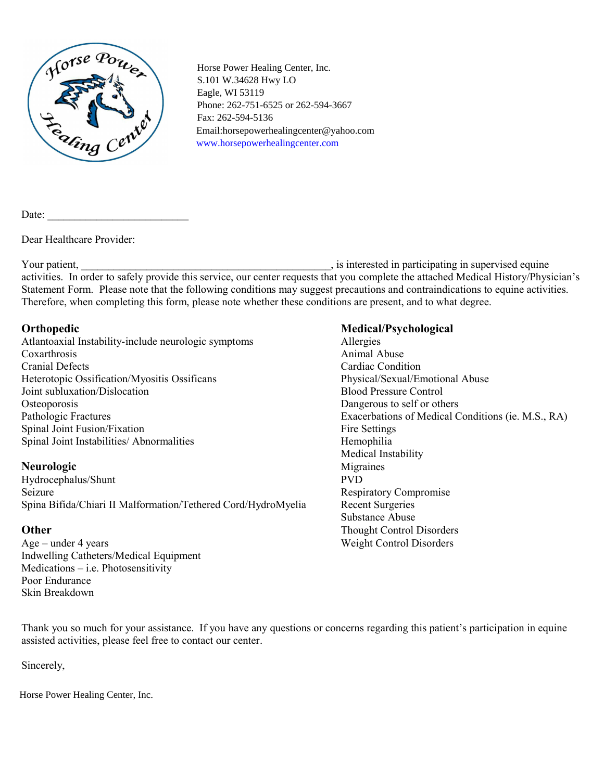

S.101 W.34628 Hwy LO Eagle, WI 53119 Phone: 262-751-6525 or 262-594-3667 Fax: 262-594-5136 Email:horsepowerhealingcenter@yahoo.com www.horsepowerhealingcenter.com Horse Power Healing Center, Inc.

Date:

Dear Healthcare Provider:

Your patient, \_\_\_\_\_\_\_\_\_\_\_\_\_\_\_\_\_\_\_\_\_\_\_\_\_\_\_\_\_\_\_\_\_\_\_\_\_\_\_\_\_\_\_\_\_\_, is interested in participating in supervised equine activities. In order to safely provide this service, our center requests that you complete the attached Medical History/Physician's Statement Form. Please note that the following conditions may suggest precautions and contraindications to equine activities. Therefore, when completing this form, please note whether these conditions are present, and to what degree.

Atlantoaxial Instability-include neurologic symptoms Allergies Coxarthrosis Animal Abuse Cranial Defects Cardiac Condition Heterotopic Ossification/Myositis Ossificans Physical/Sexual/Emotional Abuse Joint subluxation/Dislocation Blood Pressure Control Osteoporosis Dangerous to self or others Spinal Joint Fusion/Fixation Fire Settings Fire Settings Spinal Joint Instabilities/ Abnormalities **Hemophilia** Hemophilia

## **Neurologic** Migraines

Hydrocephalus/Shunt PVD Seizure Respiratory Compromise Spina Bifida/Chiari II Malformation/Tethered Cord/HydroMyelia Recent Surgeries

Age – under 4 years Weight Control Disorders Indwelling Catheters/Medical Equipment Medications – i.e. Photosensitivity Poor Endurance Skin Breakdown

# **Orthopedic Medical/Psychological**

Pathologic Fractures Exacerbations of Medical Conditions (ie. M.S., RA) Medical Instability Substance Abuse **Other** Thought Control Disorders

Thank you so much for your assistance. If you have any questions or concerns regarding this patient's participation in equine assisted activities, please feel free to contact our center.

## Sincerely,

Horse Power Healing Center, Inc.